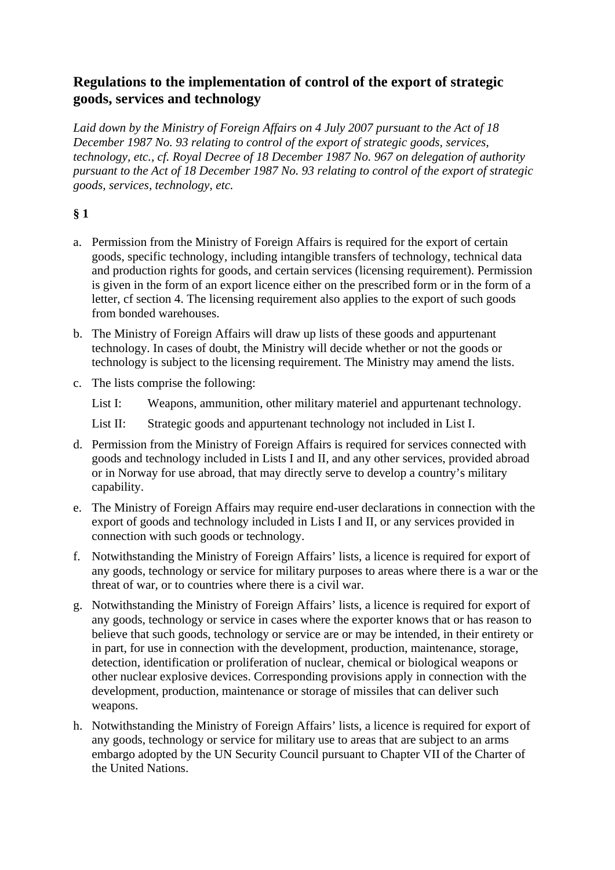# **Regulations to the implementation of control of the export of strategic goods, services and technology**

*Laid down by the Ministry of Foreign Affairs on 4 July 2007 pursuant to the Act of 18 December 1987 No. 93 relating to control of the export of strategic goods, services, technology, etc., cf. Royal Decree of 18 December 1987 No. 967 on delegation of authority pursuant to the Act of 18 December 1987 No. 93 relating to control of the export of strategic goods, services, technology, etc.*

## **§ 1**

- a. Permission from the Ministry of Foreign Affairs is required for the export of certain goods, specific technology, including intangible transfers of technology, technical data and production rights for goods, and certain services (licensing requirement). Permission is given in the form of an export licence either on the prescribed form or in the form of a letter, cf section 4. The licensing requirement also applies to the export of such goods from bonded warehouses.
- b. The Ministry of Foreign Affairs will draw up lists of these goods and appurtenant technology. In cases of doubt, the Ministry will decide whether or not the goods or technology is subject to the licensing requirement. The Ministry may amend the lists.
- c. The lists comprise the following:
	- List I: Weapons, ammunition, other military materiel and appurtenant technology.
	- List II: Strategic goods and appurtenant technology not included in List I.
- d. Permission from the Ministry of Foreign Affairs is required for services connected with goods and technology included in Lists I and II, and any other services, provided abroad or in Norway for use abroad, that may directly serve to develop a country's military capability.
- e. The Ministry of Foreign Affairs may require end-user declarations in connection with the export of goods and technology included in Lists I and II, or any services provided in connection with such goods or technology.
- f. Notwithstanding the Ministry of Foreign Affairs' lists, a licence is required for export of any goods, technology or service for military purposes to areas where there is a war or the threat of war, or to countries where there is a civil war.
- g. Notwithstanding the Ministry of Foreign Affairs' lists, a licence is required for export of any goods, technology or service in cases where the exporter knows that or has reason to believe that such goods, technology or service are or may be intended, in their entirety or in part, for use in connection with the development, production, maintenance, storage, detection, identification or proliferation of nuclear, chemical or biological weapons or other nuclear explosive devices. Corresponding provisions apply in connection with the development, production, maintenance or storage of missiles that can deliver such weapons.
- h. Notwithstanding the Ministry of Foreign Affairs' lists, a licence is required for export of any goods, technology or service for military use to areas that are subject to an arms embargo adopted by the UN Security Council pursuant to Chapter VII of the Charter of the United Nations.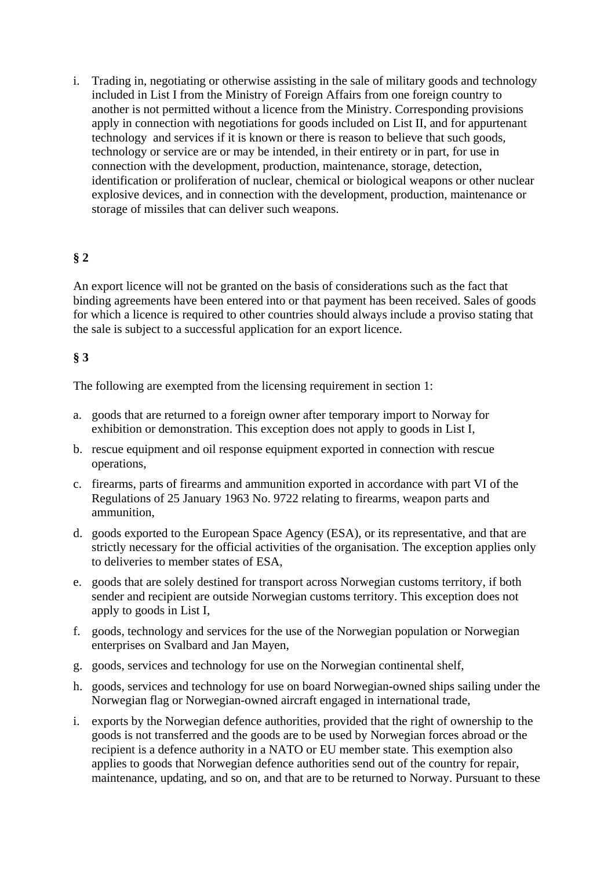i. Trading in, negotiating or otherwise assisting in the sale of military goods and technology included in List I from the Ministry of Foreign Affairs from one foreign country to another is not permitted without a licence from the Ministry. Corresponding provisions apply in connection with negotiations for goods included on List II, and for appurtenant technology and services if it is known or there is reason to believe that such goods, technology or service are or may be intended, in their entirety or in part, for use in connection with the development, production, maintenance, storage, detection, identification or proliferation of nuclear, chemical or biological weapons or other nuclear explosive devices, and in connection with the development, production, maintenance or storage of missiles that can deliver such weapons.

## **§ 2**

An export licence will not be granted on the basis of considerations such as the fact that binding agreements have been entered into or that payment has been received. Sales of goods for which a licence is required to other countries should always include a proviso stating that the sale is subject to a successful application for an export licence.

### **§ 3**

The following are exempted from the licensing requirement in section 1:

- a. goods that are returned to a foreign owner after temporary import to Norway for exhibition or demonstration. This exception does not apply to goods in List I,
- b. rescue equipment and oil response equipment exported in connection with rescue operations,
- c. firearms, parts of firearms and ammunition exported in accordance with part VI of the Regulations of 25 January 1963 No. 9722 relating to firearms, weapon parts and ammunition,
- d. goods exported to the European Space Agency (ESA), or its representative, and that are strictly necessary for the official activities of the organisation. The exception applies only to deliveries to member states of ESA,
- e. goods that are solely destined for transport across Norwegian customs territory, if both sender and recipient are outside Norwegian customs territory. This exception does not apply to goods in List I,
- f. goods, technology and services for the use of the Norwegian population or Norwegian enterprises on Svalbard and Jan Mayen,
- g. goods, services and technology for use on the Norwegian continental shelf,
- h. goods, services and technology for use on board Norwegian-owned ships sailing under the Norwegian flag or Norwegian-owned aircraft engaged in international trade,
- i. exports by the Norwegian defence authorities, provided that the right of ownership to the goods is not transferred and the goods are to be used by Norwegian forces abroad or the recipient is a defence authority in a NATO or EU member state. This exemption also applies to goods that Norwegian defence authorities send out of the country for repair, maintenance, updating, and so on, and that are to be returned to Norway. Pursuant to these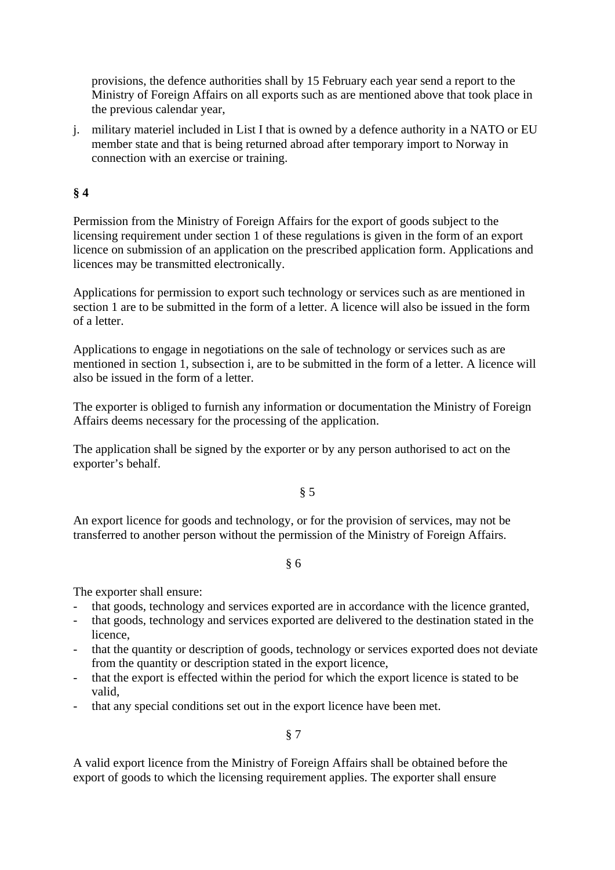provisions, the defence authorities shall by 15 February each year send a report to the Ministry of Foreign Affairs on all exports such as are mentioned above that took place in the previous calendar year,

j. military materiel included in List I that is owned by a defence authority in a NATO or EU member state and that is being returned abroad after temporary import to Norway in connection with an exercise or training.

### **§ 4**

Permission from the Ministry of Foreign Affairs for the export of goods subject to the licensing requirement under section 1 of these regulations is given in the form of an export licence on submission of an application on the prescribed application form. Applications and licences may be transmitted electronically.

Applications for permission to export such technology or services such as are mentioned in section 1 are to be submitted in the form of a letter. A licence will also be issued in the form of a letter.

Applications to engage in negotiations on the sale of technology or services such as are mentioned in section 1, subsection i, are to be submitted in the form of a letter. A licence will also be issued in the form of a letter.

The exporter is obliged to furnish any information or documentation the Ministry of Foreign Affairs deems necessary for the processing of the application.

The application shall be signed by the exporter or by any person authorised to act on the exporter's behalf.

§ 5

An export licence for goods and technology, or for the provision of services, may not be transferred to another person without the permission of the Ministry of Foreign Affairs.

#### § 6

The exporter shall ensure:

- that goods, technology and services exported are in accordance with the licence granted,
- that goods, technology and services exported are delivered to the destination stated in the licence,
- that the quantity or description of goods, technology or services exported does not deviate from the quantity or description stated in the export licence,
- that the export is effected within the period for which the export licence is stated to be valid,
- that any special conditions set out in the export licence have been met.

§ 7

A valid export licence from the Ministry of Foreign Affairs shall be obtained before the export of goods to which the licensing requirement applies. The exporter shall ensure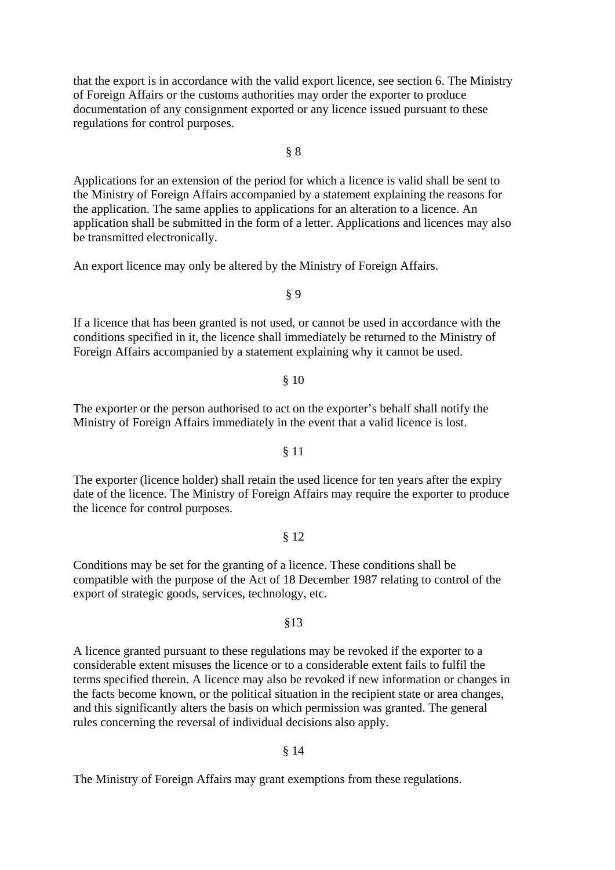that the export is in accordance with the valid export licence, see section 6. The Ministry of Foreign Affairs or the customs authorities may order the exporter to produce documentation of any consignment exported or any licence issued pursuant to these regulations for control purposes.

Applications for an extension of the period for which a licence is valid shall be sent to the Ministry of Foreign Affairs accompanied by a statement explaining the reasons for the application. The same applies to applications for an alteration to a licence. An application shall be submitted in the form of a letter. Applications and licences may also be transmitted electronically.

An export licence may only be altered by the Ministry of Foreign Affairs.

If a licence that has been granted is not used, or cannot be used in accordance with the conditions specified in it, the licence shall immediately be returned to the Ministry of Foreign Affairs accompanied by a statement explaining why it cannot be used.

The exporter or the person authorised to act on the exporter's behalf shall notify the Ministry of Foreign Affairs immediately in the event that a valid licence is lost.

The exporter (licence holder) shall retain the used licence for ten years after the expiry date of the licence. The Ministry of Foreign Affairs may require the exporter to produce the licence for control purposes.

Conditions may be set for the granting of a licence. These conditions shall be compatible with the purpose of the Act of 18 December 1987 relating to control of the export of strategic goods, services, technology, etc.

A licence granted pursuant to these regulations may be revoked if the exporter to a considerable extent misuses the licence or to a considerable extent fails to fulfil the terms specified therein. A licence may also be revoked if new information or changes in the facts become known, or the political situation in the recipient state or area changes, and this significantly alters the basis on which permission was granted. The general rules concerning the reversal of individual decisions also apply.

§ 14

The Ministry of Foreign Affairs may grant exemptions from these regulations.

# § 12

#### §13

# § 9

# § 10

# § 11

#### § 8